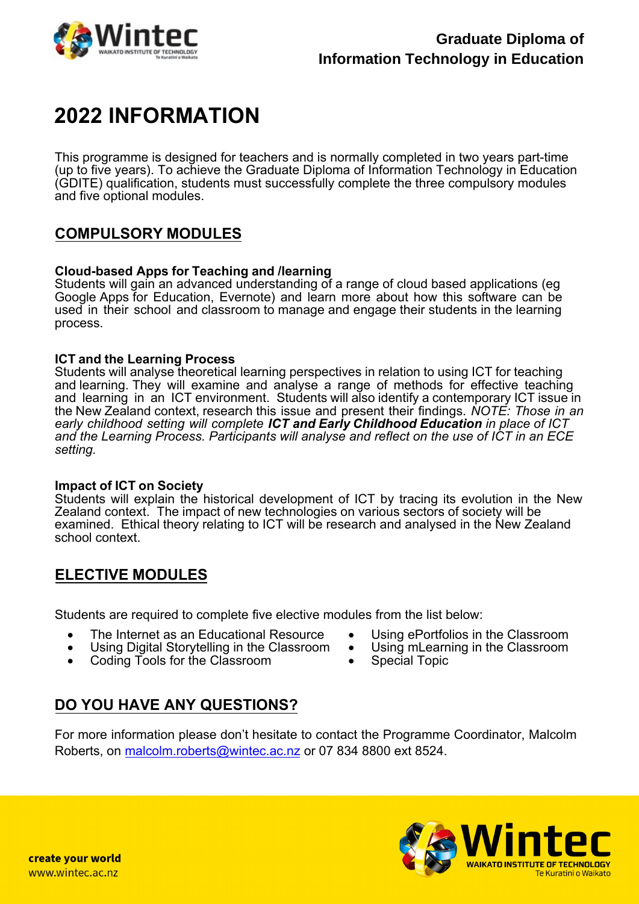

# **2022 INFORMATION**

This programme is designed for teachers and is normally completed in two years part-time (up to five years). To achieve the Graduate Diploma of Information Technology in Education (GDITE) qualification, students must successfully complete the three compulsory modules and five optional modules.

### **COMPULSORY MODULES**

#### **Cloud-based Apps for Teaching and /learning**

Students will gain an advanced understanding of a range of cloud based applications (eg Google Apps for Education, Evernote) and learn more about how this software can be used in their school and classroom to manage and engage their students in the learning process.

#### **ICT and the Learning Process**

Students will analyse theoretical learning perspectives in relation to using ICT for teaching and learning. They will examine and analyse a range of methods for effective teaching and learning in an ICT environment. Students will also identify a contemporary ICT issue in the New Zealand context, research this issue and present their findings. *NOTE: Those in an early childhood setting will complete ICT and Early Childhood Education in place of ICT and the Learning Process. Participants will analyse and reflect on the use of ICT in an ECE setting.* 

#### **Impact of ICT on Society**

Students will explain the historical development of ICT by tracing its evolution in the New Zealand context. The impact of new technologies on various sectors of society will be examined. Ethical theory relating to ICT will be research and analysed in the New Zealand school context.

### **ELECTIVE MODULES**

Students are required to complete five elective modules from the list below:

- The Internet as an Educational Resource
- Using Digital Storytelling in the Classroom
- Coding Tools for the Classroom
- Using ePortfolios in the Classroom
- Using mLearning in the Classroom
- Special Topic

### **DO YOU HAVE ANY QUESTIONS?**

F[or more information please don](mailto:malcolm.roberts@wintec.ac.nz)'t hesitate to contact the Programme Coordinator, Malcolm Roberts, on malcolm.roberts@wintec.ac.nz or 07 834 8800 ext 8524.